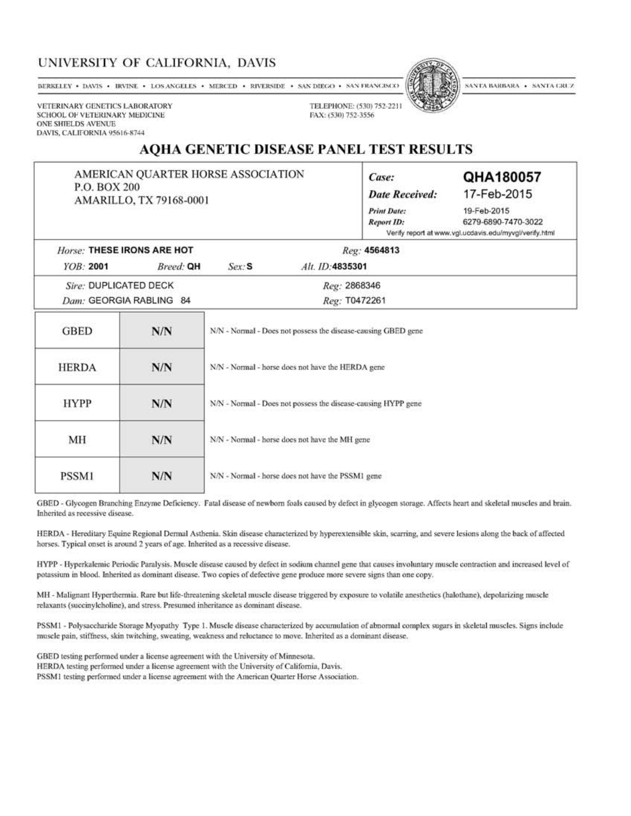## UNIVERSITY OF CALIFORNIA, DAVIS

BERKELEY . DAVIS . IRVINE . LOS ANGELES . MERCED . RIVERSIDE . SAN DIEGO . SAN FRANCISCO



SANTA BARBARA • SANTA CRUZ

VETERINARY GENETICS LABORATORY SCHOOL OF VETERINARY MEDICINE **ONE SHIELDS AVENUE** DAVIS, CALIFORNIA 95616-8744

## **AQHA GENETIC DISEASE PANEL TEST RESULTS**

TELEPHONE: (530) 752-2211

FAX: (530) 752-3556

AMERICAN QUARTER HORSE ASSOCIATION P.O. BOX 200 AMARILLO, TX 79168-0001

| Case:                 | QHA180057                                              |  |  |  |  |  |
|-----------------------|--------------------------------------------------------|--|--|--|--|--|
| <b>Date Received:</b> | 17-Feb-2015                                            |  |  |  |  |  |
| <b>Print Date:</b>    | 19-Feb-2015                                            |  |  |  |  |  |
| <b>Report ID:</b>     | 6279-6890-7470-3022                                    |  |  |  |  |  |
|                       | Verify report at www.vgl.ucdavis.edu/myvgl/verify.html |  |  |  |  |  |

|                         | Horse: THESE IRONS ARE HOT |       | Reg: 4564813     |  |
|-------------------------|----------------------------|-------|------------------|--|
| YOB: 2001               | Breed: QH                  | Ser S | Alt. ID: 4835301 |  |
| Sire: DUPLICATED DECK   |                            |       | Reg: 2868346     |  |
| Dam: GEORGIA RABLING 84 |                            |       | Reg: T0472261    |  |
|                         |                            |       |                  |  |

| <b>GBED</b>  | N/N | N/N - Normal - Does not possess the disease-causing GBED gene |  |  |  |  |  |
|--------------|-----|---------------------------------------------------------------|--|--|--|--|--|
| <b>HERDA</b> | N/N | N/N - Normal - horse does not have the HERDA gene             |  |  |  |  |  |
| <b>HYPP</b>  | N/N | N/N - Normal - Does not possess the disease-causing HYPP gene |  |  |  |  |  |
| МH           | N/N | N/N - Normal - horse does not have the MH gene                |  |  |  |  |  |
| PSSM1        | N/N | N/N - Normal - horse does not have the PSSM1 gene             |  |  |  |  |  |

GBED - Glycogen Branching Enzyme Deficiency. Fatal disease of newborn foals caused by defect in glycogen storage. Affects heart and skeletal muscles and brain. Inherited as recessive disease.

HERDA - Hereditary Equine Regional Dermal Asthenia. Skin disease characterized by hyperextensible skin, scarring, and severe lesions along the back of affected horses. Typical onset is around 2 years of age. Inherited as a recessive disease.

HYPP - Hyperkalemic Periodic Paralysis. Muscle disease caused by defect in sodium channel gene that causes involuntary muscle contraction and increased level of potassium in blood. Inherited as dominant disease. Two copies of defective gene produce more severe signs than one copy.

MH - Malignant Hyperthermia. Rare but life-threatening skeletal muscle disease triggered by exposure to volatile anesthetics (halothane), depolarizing muscle relaxants (succinylcholine), and stress. Presumed inheritance as dominant disease.

PSSM1 - Polysaccharide Storage Myopathy Type 1. Muscle disease characterized by accumulation of abnormal complex sugars in skeletal muscles. Signs include muscle pain, stiffness, skin twitching, sweating, weakness and reluctance to move. Inherited as a dominant disease.

GBED testing performed under a license agreement with the University of Minnesota. HERDA testing performed under a license agreement with the University of California, Davis.

PSSM1 testing performed under a license agreement with the American Quarter Horse Association.